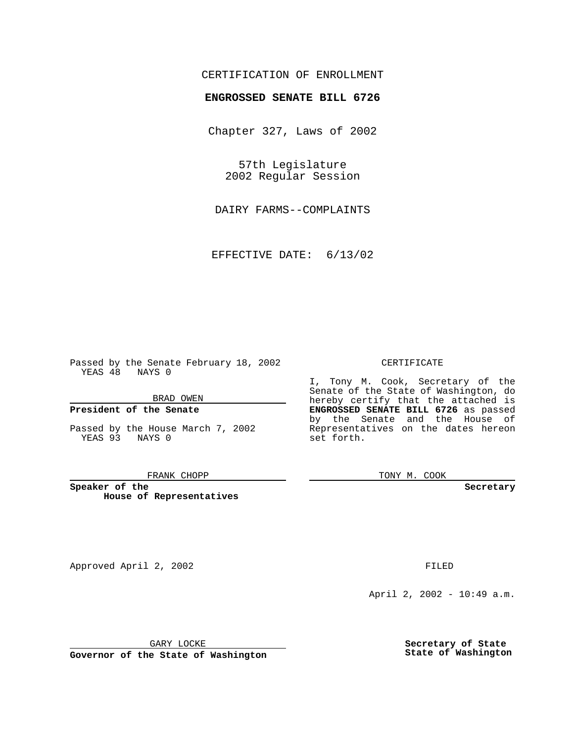## CERTIFICATION OF ENROLLMENT

# **ENGROSSED SENATE BILL 6726**

Chapter 327, Laws of 2002

57th Legislature 2002 Regular Session

DAIRY FARMS--COMPLAINTS

EFFECTIVE DATE: 6/13/02

Passed by the Senate February 18, 2002 YEAS 48 NAYS 0

### BRAD OWEN

### **President of the Senate**

Passed by the House March 7, 2002 YEAS 93 NAYS 0

#### FRANK CHOPP

**Speaker of the House of Representatives**

Approved April 2, 2002 **FILED** 

April 2, 2002 - 10:49 a.m.

GARY LOCKE

**Governor of the State of Washington**

#### CERTIFICATE

I, Tony M. Cook, Secretary of the Senate of the State of Washington, do hereby certify that the attached is **ENGROSSED SENATE BILL 6726** as passed by the Senate and the House of Representatives on the dates hereon set forth.

TONY M. COOK

**Secretary**

**Secretary of State State of Washington**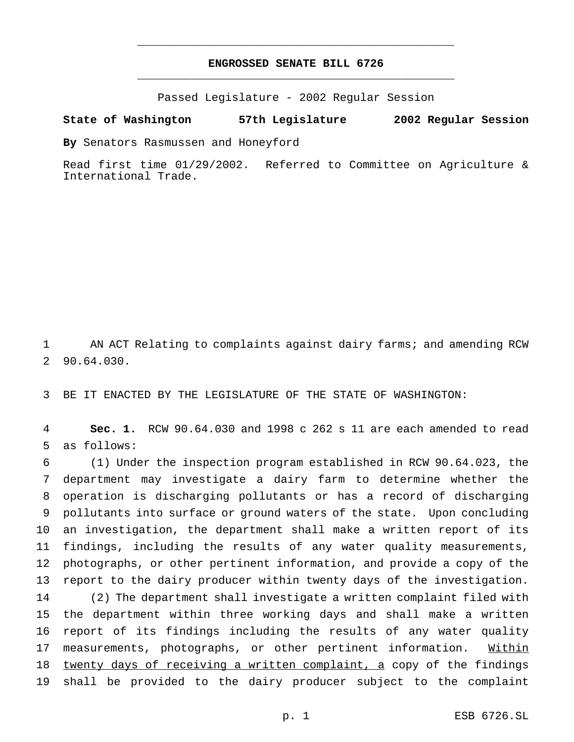## **ENGROSSED SENATE BILL 6726** \_\_\_\_\_\_\_\_\_\_\_\_\_\_\_\_\_\_\_\_\_\_\_\_\_\_\_\_\_\_\_\_\_\_\_\_\_\_\_\_\_\_\_\_\_\_\_

\_\_\_\_\_\_\_\_\_\_\_\_\_\_\_\_\_\_\_\_\_\_\_\_\_\_\_\_\_\_\_\_\_\_\_\_\_\_\_\_\_\_\_\_\_\_\_

Passed Legislature - 2002 Regular Session

### **State of Washington 57th Legislature 2002 Regular Session**

**By** Senators Rasmussen and Honeyford

Read first time 01/29/2002. Referred to Committee on Agriculture & International Trade.

 AN ACT Relating to complaints against dairy farms; and amending RCW 90.64.030.

BE IT ENACTED BY THE LEGISLATURE OF THE STATE OF WASHINGTON:

 **Sec. 1.** RCW 90.64.030 and 1998 c 262 s 11 are each amended to read as follows:

 (1) Under the inspection program established in RCW 90.64.023, the department may investigate a dairy farm to determine whether the operation is discharging pollutants or has a record of discharging pollutants into surface or ground waters of the state. Upon concluding an investigation, the department shall make a written report of its findings, including the results of any water quality measurements, photographs, or other pertinent information, and provide a copy of the report to the dairy producer within twenty days of the investigation. (2) The department shall investigate a written complaint filed with the department within three working days and shall make a written report of its findings including the results of any water quality 17 measurements, photographs, or other pertinent information. Within 18 twenty days of receiving a written complaint, a copy of the findings shall be provided to the dairy producer subject to the complaint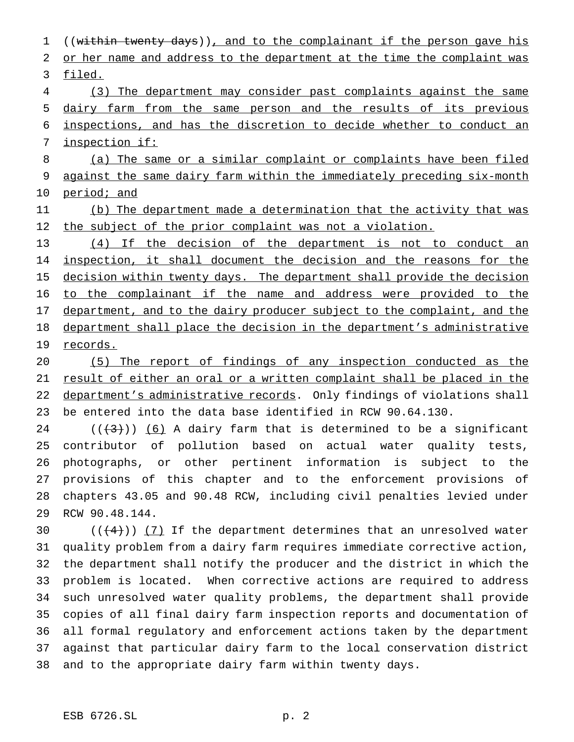1 ((within twenty days)), and to the complainant if the person gave his 2 or her name and address to the department at the time the complaint was filed. (3) The department may consider past complaints against the same dairy farm from the same person and the results of its previous inspections, and has the discretion to decide whether to conduct an inspection if: (a) The same or a similar complaint or complaints have been filed against the same dairy farm within the immediately preceding six-month period; and (b) The department made a determination that the activity that was 12 the subject of the prior complaint was not a violation. (4) If the decision of the department is not to conduct an 14 inspection, it shall document the decision and the reasons for the 15 decision within twenty days. The department shall provide the decision to the complainant if the name and address were provided to the 17 department, and to the dairy producer subject to the complaint, and the department shall place the decision in the department's administrative 19 records. (5) The report of findings of any inspection conducted as the result of either an oral or a written complaint shall be placed in the 22 department's administrative records. Only findings of violations shall be entered into the data base identified in RCW 90.64.130.

 $((+3))$  (6) A dairy farm that is determined to be a significant contributor of pollution based on actual water quality tests, photographs, or other pertinent information is subject to the provisions of this chapter and to the enforcement provisions of chapters 43.05 and 90.48 RCW, including civil penalties levied under RCW 90.48.144.

 $((+4))$   $(7)$  If the department determines that an unresolved water quality problem from a dairy farm requires immediate corrective action, the department shall notify the producer and the district in which the problem is located. When corrective actions are required to address such unresolved water quality problems, the department shall provide copies of all final dairy farm inspection reports and documentation of all formal regulatory and enforcement actions taken by the department against that particular dairy farm to the local conservation district and to the appropriate dairy farm within twenty days.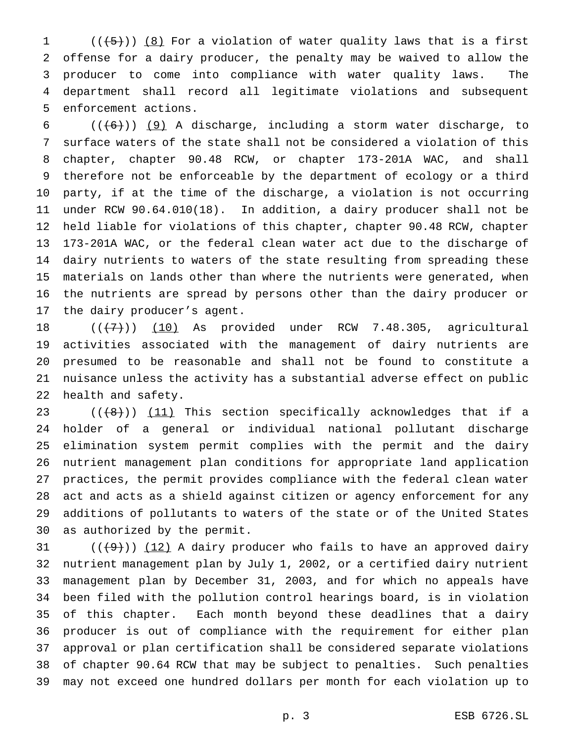$((+5))$   $(8)$  For a violation of water quality laws that is a first offense for a dairy producer, the penalty may be waived to allow the producer to come into compliance with water quality laws. The department shall record all legitimate violations and subsequent enforcement actions.

 $((+6))$  (9) A discharge, including a storm water discharge, to surface waters of the state shall not be considered a violation of this chapter, chapter 90.48 RCW, or chapter 173-201A WAC, and shall therefore not be enforceable by the department of ecology or a third party, if at the time of the discharge, a violation is not occurring under RCW 90.64.010(18). In addition, a dairy producer shall not be held liable for violations of this chapter, chapter 90.48 RCW, chapter 173-201A WAC, or the federal clean water act due to the discharge of dairy nutrients to waters of the state resulting from spreading these materials on lands other than where the nutrients were generated, when the nutrients are spread by persons other than the dairy producer or the dairy producer's agent.

 $((+7))$   $(10)$  As provided under RCW 7.48.305, agricultural activities associated with the management of dairy nutrients are presumed to be reasonable and shall not be found to constitute a nuisance unless the activity has a substantial adverse effect on public health and safety.

 $((+8))$   $(11)$  This section specifically acknowledges that if a holder of a general or individual national pollutant discharge elimination system permit complies with the permit and the dairy nutrient management plan conditions for appropriate land application practices, the permit provides compliance with the federal clean water act and acts as a shield against citizen or agency enforcement for any additions of pollutants to waters of the state or of the United States as authorized by the permit.

 $((+9))$   $(12)$  A dairy producer who fails to have an approved dairy nutrient management plan by July 1, 2002, or a certified dairy nutrient management plan by December 31, 2003, and for which no appeals have been filed with the pollution control hearings board, is in violation of this chapter. Each month beyond these deadlines that a dairy producer is out of compliance with the requirement for either plan approval or plan certification shall be considered separate violations of chapter 90.64 RCW that may be subject to penalties. Such penalties may not exceed one hundred dollars per month for each violation up to